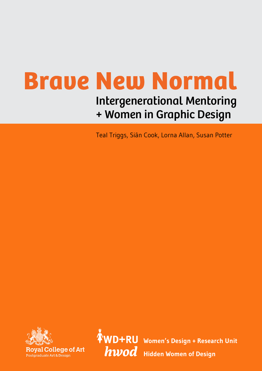# **Brave New Normal** Intergenerational Mentoring + Women in Graphic Design

Teal Triggs, Siân Cook, Lorna Allan, Susan Potter



 **Women's Design + Research Unit hwod** Hidden Women of Design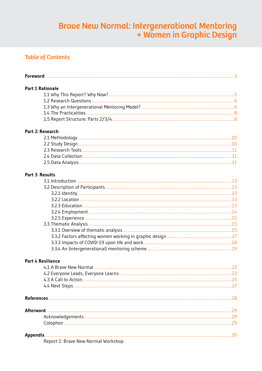# Braue New Normal: Intergenerational Mentoring<br>+ Women in Graphic Design

## **Table of Contents**

| <b>Part 1 Rationale</b>             |  |
|-------------------------------------|--|
|                                     |  |
|                                     |  |
|                                     |  |
|                                     |  |
|                                     |  |
| Part 2: Research                    |  |
|                                     |  |
|                                     |  |
|                                     |  |
|                                     |  |
|                                     |  |
|                                     |  |
| Part 3: Results                     |  |
|                                     |  |
|                                     |  |
|                                     |  |
|                                     |  |
|                                     |  |
|                                     |  |
|                                     |  |
|                                     |  |
|                                     |  |
|                                     |  |
|                                     |  |
|                                     |  |
| <b>Part 4 Resilience</b>            |  |
|                                     |  |
|                                     |  |
|                                     |  |
|                                     |  |
|                                     |  |
| <b>Afterword</b>                    |  |
|                                     |  |
|                                     |  |
|                                     |  |
|                                     |  |
| Report 1: Brave New Normal Workshop |  |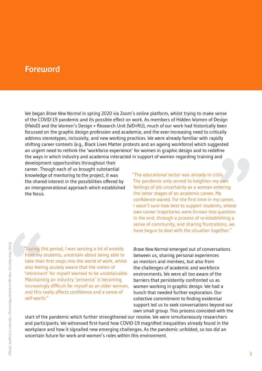## <span id="page-2-0"></span>Foreword

We began *Brave New Normal* in spring 2020 via Zoom's online platform, whilst trying to make sense of the COVID-19 pandemic and its possible effect on work. As members of Hidden Women of Design (HWoD) and the Women's Design + Research Unit (WD+RU), much of our work had historically been focussed on the graphic design profession and academia; and the ever-increasing need to critically address stereotypes, inclusivity, and new working practices. We were already familiar with rapidly shifting career contexts (e.g., Black Lives Matter protests and an ageing workforce) which suggested an urgent need to rethink the 'workforce experience' for women in graphic design and to redefine the ways in which industry and academia interacted in support of women regarding training and

development opportunities throughout their career. Though each of us brought substantial knowledge of mentoring to the project, it was the shared interest in the possibilities offered by an intergenerational approach which established the focus.

"The educational sector was already in crisis. The pandemic only served to heighten my own feelings of job uncertainty as a woman entering the latter stages of an academic career. My confidence waned. For the first time in my career, I wasn't sure how best to support students, whose own career trajectories were thrown into question. In the end, through a process of re-establishing a sense of community, and sharing frustrations, we have begun to deal with the situation together."

"During this period, I was sensing a lot of anxiety from my students, uncertain about being able to take their first steps into the world of work, whilst also feeling acutely aware that the notion of 'retirement' for myself seemed to be unobtainable. Maintaining an industry 'presence' is becoming increasingly difficult for myself as an older woman, and this really affects confidence and a sense of self-worth."

*Brave New Normal* emerged out of conversations between us, sharing personal experiences as mentors and mentees, but also from the challenges of academic and workforce environments. We were all too aware of the barriers that persistently confronted us as women working in graphic design. We had a hunch that needed further exploration. Our collective commitment to finding evidential support led us to seek conversations beyond our own small group. This process coincided with the

start of the pandemic which further strengthened our resolve. We were simultaneously researchers and participants. We witnessed first-hand how COVID-19 magnified inequalities already found in the workplace and how it signalled new emerging challenges. As the pandemic unfolded, so too did an uncertain future for work and women's roles within this environment.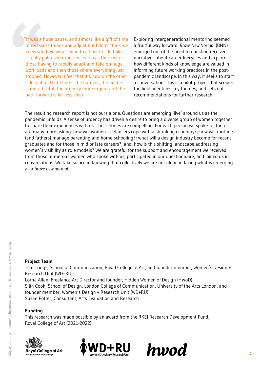"It was a huge pause, and almost like a gift of time to re-assess things and adjust but I don't think we knew what we were trying to adjust to. I felt like it really polarised experiences too as there were those having to rapidly adapt and take on huge workloads and then those where everything just stopped. However, I feel that it's now on the other side of it all that I find it the hardest, the hustle is more brutal, the urgency more urgent and the path forward is far less clear."

Exploring intergenerational mentoring seemed a fruitful way forward. *Brave New Normal* (BNN) emerged out of the need to question received narratives about career lifecycles and explore how different kinds of knowledge are valued in informing future working practices in the postpandemic landscape. In this way, it seeks to start a conversation. This is a pilot project that scopes the field, identifies key themes, and sets out recommendations for further research.

The resulting research report is not ours alone. Questions are emerging 'live' around us as the pandemic unfolds. A sense of urgency has driven a desire to bring a diverse group of women together to share their experiences with us. Their stories are compelling. For each person we spoke to, there are many more asking: how will women freelancers cope with a shrinking economy?; how will mothers (and fathers) manage parenting and home-schooling?; what will a design industry become for recent graduates and for those in mid or late careers?; and, how is this shifting landscape addressing women's visibility as role models? We are grateful for the support and encouragement we received from those numerous women who spoke with us, participated in our questionnaire, and joined us in conversations. We take solace in knowing that collectively we are not alone in facing what is emerging as a *brave new normal*.

# Brave New Normal: Intergenerational Mentoring + Women in Graphic Design Brave New Normal: Intergenerational Mentoring + Women in Graphic Design

#### **Project Team**

Teal Triggs, School of Communication, Royal College of Art, and founder member, Women's Design + Research Unit (WD+RU) Lorna Allan, Freelance Art Director and founder, Hidden Women of Design (HWoD) Siân Cook, School of Design, London College of Communication, University of the Arts London, and founder member, Women's Design + Research Unit (WD+RU) Susan Potter, Consultant, Arts Evaluation and Research

#### **Funding**

This research was made possible by an award from the RKEI Research Development Fund, Royal College of Art (2021-2022).





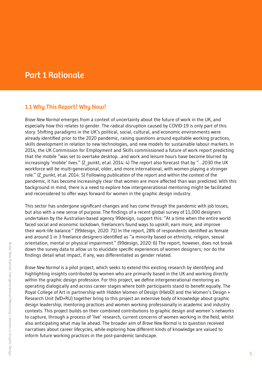# <span id="page-4-0"></span>Part 1 Rationale

#### 1.1 Why This Report? Why Now?

*Brave New Normal* emerges from a context of uncertainty about the future of work in the UK, and especially how this relates to gender. The radical disruption caused by COVID-19 is only part of this story. Shifting paradigms in the UK's political, social, cultural, and economic environments were already identified prior to the 2020 pandemic, raising questions around equitable working practices, skills development in relation to new technologies, and new models for sustainable labour markets. In 2014, the UK Commission for Employment and Skills commissioned a future of work report predicting that the mobile "was set to overtake desktop…and work and leisure hours have become blurred by increasingly 'mobile' lives." (Z\_punkt, et.al. 2014: 4) The report also forecast that by "...2030 the UK workforce will be multi-generational, older, and more international, with women playing a stronger role." (Z\_punkt, et.al. 2014: 5) Following publication of the report and within the context of the pandemic, it has become increasingly clear that women are more affected than was predicted. With this background in mind, there is a need to explore how intergenerational mentoring might be facilitated and reconsidered to offer ways forward for women in the graphic design industry.

This sector has undergone significant changes and has come through the pandemic with job losses, but also with a new sense of purpose. The findings of a recent global survey of 11,000 designers undertaken by the Australian-based agency 99design, support this: "At a time when the entire world faced social and economic lockdown, freelancers found ways to upskill, earn more, and improve their work-life balance." (99design, 2020: 71) In the report, 28% of respondents identified as female and around 1 in 3 freelance designers identified as "a minority based on ethnicity, religion, sexual orientation, mental or physical impairment." (99design, 2020: 6) The report, however, does not break down the survey data to allow us to elucidate specific experiences of women designers; nor do the findings detail what impact, if any, was differentiated as gender related.

*Brave New Normal* is a pilot project, which seeks to extend this existing research by identifying and highlighting insights contributed by women who are primarily based in the UK and working directly within the graphic design profession. For this project, we define intergenerational mentoring as operating dialogically and across career stages where both participants stand to benefit equally. The Royal College of Art in partnership with Hidden Women of Design (HWoD) and the Women's Design + Research Unit (WD+RU) together bring to this project an extensive body of knowledge about graphic design leadership, mentoring practices and women working professionally in academic and industry contexts. This project builds on their combined contributions to graphic design and women's networks to capture, through a process of 'live' research, current concerns of women working in the field, whilst also anticipating what may lie ahead. The broader aim of *Brave New Normal* is to question received narratives about career lifecycles, while exploring how different kinds of knowledge are valued to inform future working practices in the post-pandemic landscape.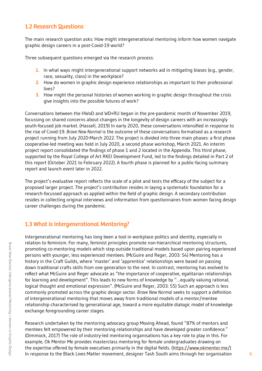#### <span id="page-5-0"></span>1.2 Research Questions

The main research question asks: How might intergenerational mentoring inform how women navigate graphic design careers in a post-Covid-19 world?

Three subsequent questions emerged via the research process:

- **1.** In what ways might intergenerational support networks aid in mitigating biases (e.g., gender, race, sexuality, class) in the workplace?
- **2.** How do women in graphic design experience relationships as important to their professional lives?
- **3.** How might the personal histories of women working in graphic design throughout the crisis give insights into the possible futures of work?

Conversations between the HWoD and WD+RU began in the pre-pandemic month of November 2019, focussing on shared concerns about changes in the longevity of design careers with an increasingly youth-focused job market. (Hassell, 2019) In early 2020, these conversations intensified in response to the rise of Covid-19. *Brave New Normal* is the outcome of these conversations formalised as a research project running from July 2020-March 2022. The project is divided into three main phases: a first phase cooperative-led meeting was held in July 2020, a second phase workshop, March 2021. An interim project report consolidated the findings of phase 1 and 2 located in the Appendix. This third phase, supported by the Royal College of Art RKEI Development Fund, led to the findings detailed in Part 2 of this report (October 2021 to February 2022). A fourth phase is planned for a public-facing summary report and launch event later in 2022.

The project's evaluative report reflects the scale of a pilot and tests the efficacy of the subject for a proposed larger project. The project's contribution resides in laying a systematic foundation for a research-focussed approach as applied within the field of graphic design. A secondary contribution resides in collecting original interviews and information from questionnaires from women facing design career challenges during the pandemic.

#### 1.3 What is Intergenerational Mentoring?

Intergenerational mentoring has long been a tool in workplace politics and identity, especially in relation to feminism. For many, feminist principles promote non-hierarchical mentoring structures, promoting co-mentoring models which step outside traditional models based upon pairing experienced persons with younger, less experienced mentees. (McGuire and Reger, 2003: 54) Mentoring has a history in the Craft Guilds, where 'master' and 'apprentice' relationships were based on passing down traditional crafts skills from one generation to the next. In contrast, mentoring has evolved to reflect what McGuire and Reger advocate as "the importance of cooperative, egalitarian relationships for learning and development". This leads to new forms of knowledge by "…equally valuing rational, logical thought and emotional expression". (McGuire and Reger, 2003: 55) Such an approach is less commonly promoted across the graphic design sector. *Brave New Normal* seeks to support a definition of intergenerational mentoring that moves away from traditional models of a mentor/mentee relationship characterised by generational age, toward a more equitable dialogic model of knowledge exchange foregrounding career stages.

Research undertaken by the mentoring advocacy group Moving Ahead, found "87% of mentors and mentees felt empowered by their mentoring relationships and have developed greater confidence." (Dimmock, 2017) The role of industry-led mentoring organisations has a key role to play in this. For example, Ok Mentor Me provides masterclass mentoring for female undergraduates drawing on the expertise offered by female executives primarily in the digital fields. ([https://www.okmentor.me/\)](https://www.okmentor.me/) In response to the Black Lives Matter movement, designer Tash South aims through her organisation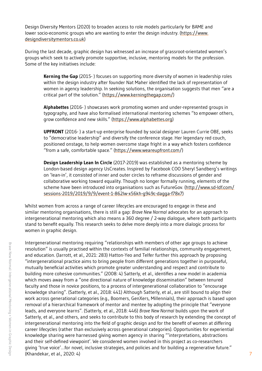Design Diversity Mentors (2020) to broaden access to role models particularly for BAME and lower socio-economic groups who are wanting to enter the design industry. [\(https://www.](https://www.designdiversitymentors.co.uk) [designdiversitymentors.co.uk](https://www.designdiversitymentors.co.uk))

During the last decade, graphic design has witnessed an increase of grassroot-orientated women's groups which seek to actively promote supportive, inclusive, mentoring models for the profession. Some of the key initiatives include:

**Kerning the Gap** (2015- ) focuses on supporting more diversity of women in leadership roles within the design industry after founder Nat Maher identified the lack of representation of women in agency leadership. In seeking solutions, the organisation suggests that men "are a critical part of the solution." [\(https://www.kerningthegap.com/](https://www.kerningthegap.com/))

**Alphabettes** (2016- ) showcases work promoting women and under-represented groups in typography, and have also formalised international mentoring schemes "to empower others, grow confidence and new skills." ([https://www.alphabettes.org\)](https://www.alphabettes.org)

**UPFRONT** (2016- ) a start-up enterprise founded by social designer Lauren Currie OBE, seeks to "democratise leadership" and diversify the conference stage. Her legendary red couch, positioned onstage, to help women overcome stage fright in a way which fosters confidence "from a safe, comfortable space." [\(https://www.weareupfront.com/](https://www.weareupfront.com))

**Design Leadership Lean In Circle** (2017-2019) was established as a mentoring scheme by London-based design agency UsCreates. Inspired by Facebook COO Sheryl Sandberg's writings on 'lean-in', it consisted of inner and outer circles to reframe discussions of gender and collaborative working toward equality. Though no longer formally running, elements of the scheme have been introduced into organisations such as FutureGov. [\(http://www.sd-ldf.com/](http://www.sd-ldf.com/sessions-2019/2019/9/9/event-1-862lw-x56kh-g949c-dagga-f78x7) [sessions-2019/2019/9/9/event-1-862lw-x56kh-g949c-dagga-f78x7\)](http://www.sd-ldf.com/sessions-2019/2019/9/9/event-1-862lw-x56kh-g949c-dagga-f78x7)

Whilst women from across a range of career lifecycles are encouraged to engage in these and similar mentoring organisations, there is still a gap: *Brave New Normal* advocates for an approach to intergenerational mentoring which also means a 360 degree / 2-way dialogue, where both participants stand to benefit equally. This research seeks to delve more deeply into a more dialogic process for women in graphic design.

Intergenerational mentoring requiring "relationships with members of other age groups to achieve resolution" is usually practised within the contexts of familial relationships, community engagement, and education. (Jarrott, et al., 2021: 283) Hatton-Yeo and Telfer further this approach by proposing "intergenerational practice aims to bring people from different generations together in purposeful, mutually beneficial activities which promote greater understanding and respect and contribute to building more cohesive communities." (2008: 4) Satterly, et al., identifies a new model in academia which moves away from a "one directional nature of knowledge dissemination" between tenured faculty and those in novice positions, to a process of intergenerational collaboration to "encourage knowledge sharing". (Satterly, et al., 2018: 441) Although Satterly, et al., are still bound to align their work across generational categories (e.g., Boomers, GenXers, Millennials), their approach is based upon removal of a hierarchical framework of mentor and mentee by adopting the principle that "everyone leads, and everyone learns". (Satterly, et al., 2018: 446) *Brave New Normal* builds upon the work of Satterly, et al., and others, and seeks to contribute to this body of research by extending the concept of intergenerational mentoring into the field of graphic design and for the benefit of women at differing career lifecycles (rather than exclusively across generational categories). Opportunities for experiential knowledge sharing were harnessed giving women agency in sharing "'interpretations, abstractions and their self-defined viewpoint'. We considered women involved in this project as co-researchers giving 'true voice'…for novel, inclusive strategies, and policies and for building a regenerative future." (Khandekar, et al., 2020: 4) 7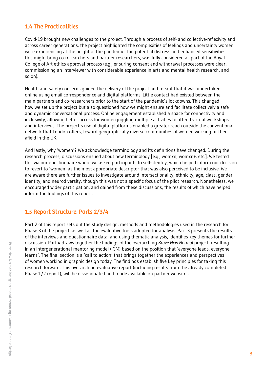#### <span id="page-7-0"></span>1.4 The Practicalities

Covid-19 brought new challenges to the project. Through a process of self- and collective-reflexivity and across career generations, the project highlighted the complexities of feelings and uncertainty women were experiencing at the height of the pandemic. The potential distress and enhanced sensitivities this might bring co-researchers and partner researchers, was fully considered as part of the Royal College of Art ethics approval process (e.g., ensuring consent and withdrawal processes were clear, commissioning an interviewer with considerable experience in arts and mental health research, and so on).

Health and safety concerns guided the delivery of the project and meant that it was undertaken online using email correspondence and digital platforms. Little contact had existed between the main partners and co-researchers prior to the start of the pandemic's lockdowns. This changed how we set up the project but also questioned how we might ensure and facilitate collectively a safe and dynamic conversational process. Online engagement established a space for connectivity and inclusivity, allowing better access for women juggling multiple activities to attend virtual workshops and interviews. The project's use of digital platforms enabled a greater reach outside the conventional network that London offers, toward geographically diverse communities of women working further afield in the UK.

And lastly, why 'women'? We acknowledge terminology and its definitions have changed. During the research process, discussions ensued about new terminology [e.g., womxn, womxn+, etc.]. We tested this via our questionnaire where we asked participants to self-identify, which helped inform our decision to revert to 'women' as the most appropriate descriptor that was also perceived to be inclusive. We are aware there are further issues to investigate around intersectionality, ethnicity, age, class, gender identity, and neurodiversity, though this was not a specific focus of the pilot research. Nonetheless, we encouraged wider participation, and gained from these discussions, the results of which have helped inform the findings of this report.

#### 1.5 Report Structure: Parts 2/3/4

Part 2 of this report sets out the study design, methods and methodologies used in the research for Phase 3 of the project, as well as the evaluative tools adopted for analysis. Part 3 presents the results of the interviews and questionnaire data, and using thematic analysis, identifies key themes for further discussion. Part 4 draws together the findings of the overarching *Brave New Normal* project, resulting in an intergenerational mentoring model (IGM) based on the position that 'everyone leads, everyone learns'. The final section is a 'call to action' that brings together the experiences and perspectives of women working in graphic design today. The findings establish five key principles for taking this research forward. This overarching evaluative report (including results from the already completed Phase 1/2 report), will be disseminated and made available on partner websites.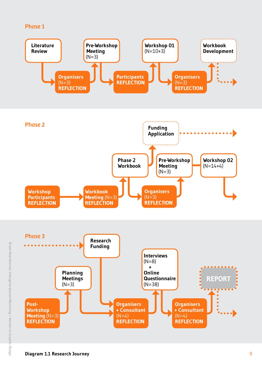#### Phase 1



**REFLECTION**

**REFLECTION**

**REFLECTION**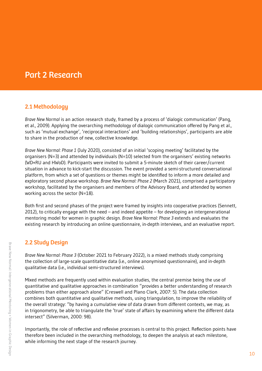# <span id="page-9-0"></span>Part 2 Research

#### 2.1 Methodology

*Brave New Normal* is an action research study, framed by a process of 'dialogic communication' (Pang, et al., 2009). Applying the overarching methodology of dialogic communication offered by Pang et al., such as 'mutual exchange', 'reciprocal interactions' and 'building relationships', participants are able to share in the production of new, collective knowledge.

*Brave New Normal: Phase 1* (July 2020), consisted of an initial 'scoping meeting' facilitated by the organisers (N=3) and attended by individuals (N=10) selected from the organisers' existing networks (WD+RU and HWoD). Participants were invited to submit a 5-minute sketch of their career/current situation in advance to kick-start the discussion. The event provided a semi-structured conversational platform, from which a set of questions or themes might be identified to inform a more detailed and exploratory second phase workshop. *Brave New Normal: Phase 2* (March 2021), comprised a participatory workshop, facilitated by the organisers and members of the Advisory Board, and attended by women working across the sector (N=18).

Both first and second phases of the project were framed by insights into cooperative practices (Sennett, 2012), to critically engage with the need – and indeed appetite – for developing an intergenerational mentoring model for women in graphic design. *Brave New Normal: Phase 3* extends and evaluates the existing research by introducing an online questionnaire, in-depth interviews, and an evaluative report.

#### 2.2 Study Design

*Brave New Normal: Phase 3* (October 2021 to February 2022), is a mixed methods study comprising the collection of large-scale quantitative data (i.e., online anonymised questionnaire), and in-depth qualitative data (i.e., individual semi-structured interviews).

Mixed methods are frequently used within evaluation studies, the central premise being the use of quantitative and qualitative approaches in combination "provides a better understanding of research problems than either approach alone" (Creswell and Plano Clark, 2007: 5). The data collection combines both quantitative and qualitative methods, using triangulation, to improve the reliability of the overall strategy: "by having a cumulative view of data drawn from different contexts, we may, as in trigonometry, be able to triangulate the 'true' state of affairs by examining where the different data intersect" (Silverman, 2000: 98).

Importantly, the role of reflective and reflexive processes is central to this project. Reflection points have therefore been included in the overarching methodology, to deepen the analysis at each milestone, while informing the next stage of the research journey.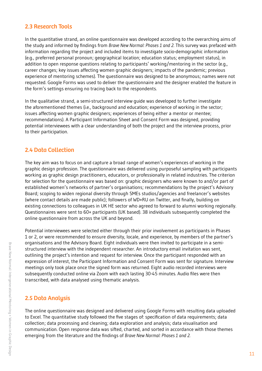#### <span id="page-10-0"></span>2.3 Research Tools

In the quantitative strand, an online questionnaire was developed according to the overarching aims of the study and informed by findings from *Brave New Normal: Phases 1 and 2*. This survey was prefaced with information regarding the project and included items to investigate socio-demographic information (e.g., preferred personal pronoun; geographical location; education status; employment status), in addition to open response questions relating to participants' working/mentoring in the sector (e.g., career changes; key issues affecting women graphic designers; impacts of the pandemic; previous experience of mentoring schemes). The questionnaire was designed to be anonymous; names were not requested. Google Forms was used to deliver the questionnaire and the designer enabled the feature in the form's settings ensuring no tracing back to the respondents.

In the qualitative strand, a semi-structured interview guide was developed to further investigate the aforementioned themes (i.e., background and education; experience of working in the sector; issues affecting women graphic designers; experiences of being either a mentor or mentee; recommendations). A Participant Information Sheet and Consent Form was designed, providing potential interviewees with a clear understanding of both the project and the interview process, prior to their participation.

#### 2.4 Data Collection

The key aim was to focus on and capture a broad range of women's experiences of working in the graphic design profession. The questionnaire was delivered using purposeful sampling with participants working as graphic design practitioners, educators, or professionally in related industries. The criterion for selection for the questionnaire was based on: graphic designers who were known to and/or part of established women's networks of partner's organisations; recommendations by the project's Advisory Board; scoping to widen regional diversity through SMEs studios/agencies and freelancer's websites (where contact details are made public); followers of WD+RU on Twitter, and finally, building on existing connections to colleagues in UK HE sector who agreed to forward to alumni working regionally. Questionnaires were sent to 60+ participants (UK based). 38 individuals subsequently completed the online questionnaire from across the UK and beyond.

Potential interviewees were selected either through their prior involvement as participants in Phases 1 or 2, or were recommended to ensure diversity, locale, and experience, by members of the partner's organisations and the Advisory Board. Eight individuals were then invited to participate in a semistructured interview with the independent researcher. An introductory email invitation was sent, outlining the project's intention and request for interview. Once the participant responded with an expression of interest, the Participant Information and Consent Form was sent for signature. Interview meetings only took place once the signed form was returned. Eight audio recorded interviews were subsequently conducted online via Zoom with each lasting 30-45 minutes. Audio files were then transcribed, with data analysed using thematic analysis.

#### 2.5 Data Analysis

The online questionnaire was designed and delivered using Google Forms with resulting data uploaded to Excel. The quantitative study followed the five stages of: specification of data requirements; data collection; data processing and cleaning; data exploration and analysis; data visualisation and communication. Open response data was sifted, charted, and sorted in accordance with those themes emerging from the literature and the findings of *Brave New Normal: Phases 1 and 2*.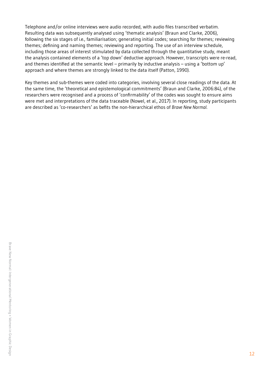Telephone and/or online interviews were audio recorded, with audio files transcribed verbatim. Resulting data was subsequently analysed using 'thematic analysis' (Braun and Clarke, 2006), following the six stages of i.e., familiarisation; generating initial codes; searching for themes; reviewing themes; defining and naming themes; reviewing and reporting. The use of an interview schedule, including those areas of interest stimulated by data collected through the quantitative study, meant the analysis contained elements of a 'top down' deductive approach. However, transcripts were re-read, and themes identified at the semantic level – primarily by inductive analysis – using a 'bottom up' approach and where themes are strongly linked to the data itself (Patton, 1990).

Key themes and sub-themes were coded into categories, involving several close readings of the data. At the same time, the 'theoretical and epistemological commitments' (Braun and Clarke, 2006:84), of the researchers were recognised and a process of 'confirmability' of the codes was sought to ensure aims were met and interpretations of the data traceable (Nowel, et al., 2017). In reporting, study participants are described as 'co-researchers' as befits the non-hierarchical ethos of *Brave New Normal*.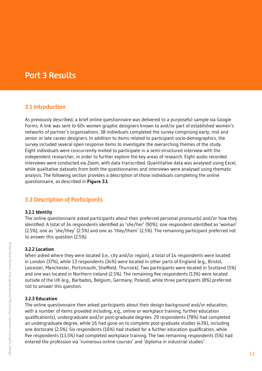# <span id="page-12-0"></span>Part 3 Results

#### 3.1 Introduction

As previously described, a brief online questionnaire was delivered to a purposeful sample via Google Forms. A link was sent to 60+ women graphic designers known to and/or part of established women's networks of partner's organisations. 38 individuals completed the survey comprising early, mid and senior or late career designers. In addition to items related to participant socio-demographics, the survey included several open response items to investigate the overarching themes of the study. Eight individuals were concurrently invited to participate in a semi-structured interview with the independent researcher, in order to further explore the key areas of research. Eight audio recorded interviews were conducted via Zoom, with data transcribed. Quantitative data was analysed using Excel, while qualitative datasets from both the questionnaires and interviews were analysed using thematic analysis. The following section provides a description of those individuals completing the online questionnaire, as described in **Figure 3.1**.

#### 3.2 Description of Participants

#### **3.2.1 Identity**

The online questionnaire asked participants about their preferred personal pronoun(s) and/or how they identified. A total of 34 respondents identified as 'she/her' (90%); one respondent identified as 'woman' (2.5%), one as 'she/they' (2.5%) and one as 'they/them' (2.5%). The remaining participant preferred not to answer this question (2.5%).

#### **3.2.2 Location**

When asked where they were located (i.e., city and/or region), a total of 14 respondents were located in London (37%), while 13 respondents (34%) were located in other parts of England (e.g., Bristol, Leicester, Manchester, Portsmouth, Sheffield, Thurrock). Two participants were located in Scotland (5%) and one was located in Northern Ireland (2.5%). The remaining five respondents (13%) were located outside of the UK (e.g., Barbados, Belgium, Germany, Poland), while three participants (8%) preferred not to answer this question.

#### **3.2.3 Education**

The online questionnaire then asked participants about their design background and/or education, with a number of items provided including, e.g., online or workplace training, further education qualification(s), undergraduate and/or post-graduate degrees. 29 respondents (78%) had completed an undergraduate degree, while 16 had gone on to complete post-graduate studies (43%), including one doctorate (2.5%). Six respondents (16%) had studied for a further education qualification, while five respondents (13.5%) had completed workplace training. The two remaining respondents (5%) had entered the profession via 'numerous online courses' and 'diploma in industrial studies'.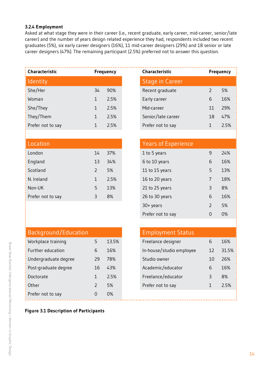#### <span id="page-13-0"></span>**3.2.4 Employment**

Asked at what stage they were in their career (i.e., recent graduate, early career, mid-career, senior/late career) and the number of years design related experience they had, respondents included two recent graduates (5%), six early career designers (16%), 11 mid-career designers (29%) and 18 senior or late career designers (47%). The remaining participant (2.5%) preferred not to answer this question.

| Characteristic    |    | <b>Frequency</b> |  | Characteristic         | <b>Frequency</b> |      |
|-------------------|----|------------------|--|------------------------|------------------|------|
| Identity          |    |                  |  | <b>Stage in Career</b> |                  |      |
| She/Her           | 34 | 90%              |  | Recent graduate        |                  | 5%   |
| Woman             |    | 2.5%             |  | Early career           | 6                | 16%  |
| She/They          | 1  | 2.5%             |  | Mid-career             | 11               | 29%  |
| They/Them         |    | 2.5%             |  | Senior/late career     | 18               | 47%  |
| Prefer not to say |    | 2.5%             |  | Prefer not to say      |                  | 2.5% |

|               |      | <b>Years of Experience</b> |   |     |
|---------------|------|----------------------------|---|-----|
| 14            | 37%  | 1 to 5 years               | 9 | 24% |
| 13            | 34%  | 6 to 10 years              | 6 | 16% |
| $\mathcal{P}$ | 5%   | 11 to 15 years             | 5 | 13% |
|               | 2.5% | 16 to 20 years             |   | 18% |
| 5             | 13%  | 21 to 25 years             | 3 | 8%  |
| 3             | 8%   | 26 to 30 years             | 6 | 16% |
|               |      |                            |   |     |

| <b>Characteristic</b>  |               | <b>Frequency</b> |
|------------------------|---------------|------------------|
| <b>Stage in Career</b> |               |                  |
| Recent graduate        | $\mathcal{L}$ | 5%               |
| Early career           | 6             | 16%              |
| Mid-career             | 11            | 29%              |
| Senior/late career     | 18            | 47%              |
| Prefer not to say      |               | 2.5%             |

# Years of Experience

| 1 to 5 years      | q             | 24% |
|-------------------|---------------|-----|
| 6 to 10 years     | 6             | 16% |
| 11 to 15 years    | 5             | 13% |
| 16 to 20 years    | 7             | 18% |
| 21 to 25 years    | Β             | 8%  |
| 26 to 30 years    | 6             | 16% |
| 30+ years         | $\mathcal{L}$ | .5% |
| Prefer not to say |               | 0%  |

| Background/Education   |    |       | <b>Employment Status</b> |    |
|------------------------|----|-------|--------------------------|----|
| Workplace training     | 5  | 13.5% | Freelance designer       | 6  |
| Further education      | 6  | 16%   | In-house/studio employee | 12 |
| : Undergraduate degree | 29 | 78%   | Studio owner             | 10 |
| Post-graduate degree   | 16 | 43%   | Academic/educator        | 6  |
| Doctorate              |    | 2.5%  | Freelance/educator       | 3  |
| Other                  |    | 5%    | Prefer not to say        |    |
| : Prefer not to say    | 0  | 0%    |                          |    |

| 5             | 13.5% |
|---------------|-------|
| 6             | 16%   |
| 29            | 78%   |
| 16            | 43%   |
| 1             | 2.5%  |
| $\mathcal{P}$ | 5%    |
| $\Omega$      | 0%    |
|               |       |

#### **Figure 3.1 Description of Participants**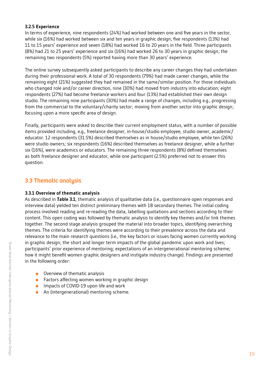#### <span id="page-14-0"></span>**3.2.5 Experience**

In terms of experience, nine respondents (24%) had worked between one and five years in the sector, while six (16%) had worked between six and ten years in graphic design; five respondents (13%) had 11 to 15 years' experience and seven (18%) had worked 16 to 20 years in the field. Three participants (8%) had 21 to 25 years' experience and six (16%) had worked 26 to 30 years in graphic design; the remaining two respondents (5%) reported having more than 30 years' experience.

The online survey subsequently asked participants to describe any career changes they had undertaken during their professional work. A total of 30 respondents (79%) had made career changes, while the remaining eight (21%) suggested they had remained in the same/similar position. For those individuals who changed role and/or career direction, nine (30%) had moved from industry into education; eight respondents (27%) had become freelance workers and four (13%) had established their own design studio. The remaining nine participants (30%) had made a range of changes, including e.g., progressing from the commercial to the voluntary/charity sector; moving from another sector into graphic design; focusing upon a more specific area of design.

Finally, participants were asked to describe their current employment status, with a number of possible items provided including, e.g., freelance designer, in-house/studio employee, studio owner, academic/ educator. 12 respondents (31.5%) described themselves as in house/studio employee, while ten (26%) were studio owners; six respondents (16%) described themselves as freelance designer, while a further six (16%), were academics or educators. The remaining three respondents (8%) defined themselves as both freelance designer and educator, while one participant (2.5%) preferred not to answer this question.

#### 3.3 Thematic analysis

#### **3.3.1 Overview of thematic analysis**

As described in **Table 3.1**, thematic analysis of qualitative data (i.e., questionnaire open responses and interview data) yielded ten distinct preliminary themes with 18 secondary themes. The initial coding process involved reading and re-reading the data, labelling quotations and sections according to their content. This open coding was followed by thematic analysis to identify key themes and/or link themes together. The second stage analysis grouped the material into broader topics, identifying overarching themes. The criteria for identifying themes were according to their prevalence across the data and relevance to the main research questions (i.e., the key factors or issues facing women currently working in graphic design; the short and longer term impacts of the global pandemic upon work and lives; participants' prior experience of mentoring; expectations of an intergenerational mentoring scheme; how it might benefit women graphic designers and instigate industry change). Findings are presented in the following order:

- **•** Overview of thematic analysis
- Factors affecting women working in graphic design
- **IMPACT COVID-19 upon life and work**
- An (intergenerational) mentoring scheme.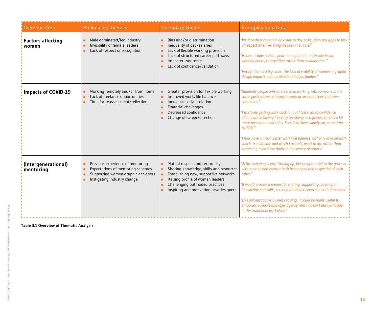| Thematic Area                     | <b>Preliminary Themes</b>                                                                                                                               | <b>Secondary Themes</b>                                                                                                                                                                                                            | <b>Examples from Data</b>                                                                                                                                                                                                                                                                                                                                                                                                                                                                                                                                                     |
|-----------------------------------|---------------------------------------------------------------------------------------------------------------------------------------------------------|------------------------------------------------------------------------------------------------------------------------------------------------------------------------------------------------------------------------------------|-------------------------------------------------------------------------------------------------------------------------------------------------------------------------------------------------------------------------------------------------------------------------------------------------------------------------------------------------------------------------------------------------------------------------------------------------------------------------------------------------------------------------------------------------------------------------------|
| <b>Factors affecting</b><br>women | Male dominated/led industry<br>Invisibility of female leaders<br>Lack of respect or recognition                                                         | Bias and/or discrimination<br>Inequality of pay/salaries<br>Lack of flexible working provision<br>Lack of structured career pathways<br>Imposter syndrome<br>Lack of confidence/validation                                         | We face discrimination on a day to day basis, from pay gaps to lack<br>of respect when we bring ideas to the table."<br>Issues include sexism, poor management, maternity leave,<br>working hours, competition rather than collaboration."<br>Recognition is a big issue. The lack of visibility of women in graphic<br>design impacts upon professional opportunities."                                                                                                                                                                                                      |
| <b>Impacts of COVID-19</b>        | Working remotely and/or from home<br>Lack of freelance opportunities<br>Time for reassessment/reflection                                                | Greater provision for flexible working<br>Improved work/life balance<br>Increased social isolation<br><b>Financial challenges</b><br>Decreased confidence<br>Change of career/direction                                            | 'Suddenly people only interested in working with someone in the<br>same postcode were happy to work across countries and even<br>continents."<br>'I'm slowly getting work back in, but I lost a lot of confidence.<br>Clients are behaving like they are doing us a favour; there's a lot<br>more pressure on all sides. Fees have been widely cut, sometimes<br>by 50%."<br>'I now have a much better work/life balance, as I only take on work<br>which benefits me and which I actually want to do, rather than<br>stretching myself too thinly in the service of others." |
| (Intergenerational)<br>mentoring  | Previous experience of mentoring<br>$\bullet$<br>Expectations of mentoring schemes<br>Supporting women graphic designers<br>Instigating industry change | Mutual respect and reciprocity<br>Sharing knowledge, skills and resources<br>Establishing new, supportive networks<br>Raising profile of women leaders<br>Challenging outmoded practices<br>Inspiring and motivating new designers | 'Active listening is key. Turning up, being committed to the process,<br>with mentee and mentor both being open and respectful of each<br>other."<br>'It would provide a means for sharing, supporting, passing on<br>knowledge and skills, a really valuable resource in both directions.'<br>"Like feminist consciousness raising, it could be really useful to<br>empower, support and offer agency which doesn't always happen<br>in the traditional workplace."                                                                                                          |

**Table 3.1 Overview of Thematic Analysis**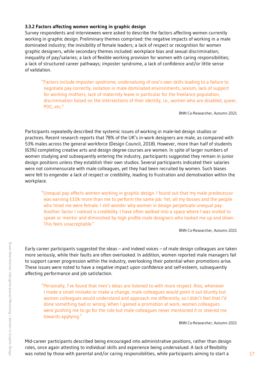#### <span id="page-16-0"></span>**3.3.2 Factors affecting women working in graphic design**

Survey respondents and interviewees were asked to describe the factors affecting women currently working in graphic design. Preliminary themes comprised: the negative impacts of working in a male dominated industry; the invisibility of female leaders; a lack of respect or recognition for women graphic designers, while secondary themes included: workplace bias and sexual discrimination; inequality of pay/salaries; a lack of flexible working provision for women with caring responsibilities; a lack of structured career pathways; imposter syndrome, a lack of confidence and/or little sense of validation.

"Factors include imposter syndrome, undervaluing of one's own skills leading to a failure to negotiate pay correctly, isolation in male dominated environments, sexism, lack of support for working mothers, lack of maternity leave in particular for the freelance population, discrimination based on the intersections of their identity, i.e., women who are disabled, queer, POC, etc."

BNN Co-Researcher, Autumn 2021

Participants repeatedly described the systemic issues of working in male-led design studios or practices. Recent research reports that 78% of the UK's in-work designers are male, as compared with 53% males across the general workforce (Design Council, 2018). However, more than half of students (63%) completing creative arts and design degree courses are women. In spite of larger numbers of women studying and subsequently entering the industry, participants suggested they remain in junior design positions unless they establish their own studios. Several participants indicated their salaries were not commensurate with male colleagues, yet they had been recruited by women. Such biases were felt to engender a lack of respect or credibility, leading to frustration and demotivation within the workplace.

"Unequal pay affects women working in graphic design. I found out that my male predecessor was earning £10k more than me to perform the same job. Yet, all my bosses and the people who hired me were female. I still wonder why women in design perpetuate unequal pay. Another factor I noticed is credibility. I have often walked into a space where I was invited to speak or mentor and diminished by high profile male designers who looked me up and down. This feels unacceptable."

BNN Co-Researcher, Autumn 2021

Early career participants suggested the ideas – and indeed voices – of male design colleagues are taken more seriously, while their faults are often overlooked. In addition, women reported male managers fail to support career progression within the industry, overlooking their potential when promotions arise. These issues were noted to have a negative impact upon confidence and self-esteem, subsequently affecting performance and job satisfaction.

"Personally, I've found that men's ideas are listened to with more respect. Also, whenever I made a small mistake or make a change, male colleagues would point it out bluntly but women colleagues would understand and approach me differently, so I didn't feel that I'd done something bad or wrong. When I gained a promotion at work, women colleagues were pushing me to go for the role but male colleagues never mentioned it or steered me towards applying."

BNN Co-Researcher, Autumn 2021

Mid-career participants described being encouraged into administrative positions, rather than design roles, once again attesting to individual skills and experience being undervalued. A lack of flexibility was noted by those with parental and/or caring responsibilities, while participants aiming to start a  $17$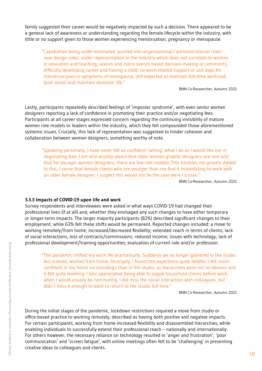<span id="page-17-0"></span>family suggested their career would be negatively impacted by such a decision. There appeared to be a general lack of awareness or understanding regarding the female lifecycle within the industry, with little or no support given to those women experiencing menstruation, pregnancy or menopause.

"Capabilities being under-estimated, pushed into organisational/ administrational roles over design roles, under representation in the industry which does not correlate to women in education and teaching, sexism and micro sexism based decision-making or comments, difficulty developing career and having a child, no work-related support or sick days for menstrual pain or symptoms of menopause, still expected to maintain full-time workload (and some) and maintain domestic life."

BNN Co-Researcher, Autumn 2021

Lastly, participants repeatedly described feelings of 'imposter syndrome', with even senior women designers reporting a lack of confidence in promoting their practice and/or negotiating fees. Participants at all career stages expressed concern regarding the continuing invisibility of mature women role models or leaders within the industry, which they felt compounded those aforementioned systemic issues. Crucially, this lack of representation was suggested to hinder cohesion and collaboration between women designers, something worthy of note.

"Speaking personally, I have never felt as confident 'selling' what I do as I would like nor in negotiating fees. I am also acutely aware that older women graphic designers are rare and that for younger women designers, there are few role models. This troubles me greatly. Added to this, I sense that female clients who are younger than me find it intimidating to work with an older female designer. I suspect this would not be the case were I a man."

BNN Co-Researcher, Autumn 2021

#### **3.3.3 Impacts of COVID-19 upon life and work**

Survey respondents and interviewees were asked in what ways COVID-19 had changed their professional lives (if at all) and, whether they envisaged any such changes to have either temporary or longer-term impacts. The larger majority participants (82%) described significant changes to their employment, while 63% felt these shifts would be permanent. Reported changes included: a move to working remotely/from home; increased/decreased flexibility; extended reach in terms of clients; lack of social interactions; loss of contracts/commissions; reduced income; issues with technology; lack of professional development/training opportunities; evaluation of current role and/or profession.

"The pandemic shifted my work life dramatically. Suddenly we no longer gathered in the studio but instead, worked from home. Strangely, I found this experience quite helpful. I felt more confident in my home surroundings than in the studio, as hierarchies were not so obvious and it felt quite levelling. I also appreciated being able to juggle household chores before work, when I would usually be commuting. I did miss the social interaction with colleagues, but didn't miss it enough to want to return to the studio full time."

BNN Co-Researcher, Autumn 2021

During the initial stages of the pandemic, lockdown restrictions required a move from studio or office-based practice to working remotely, described as having both positive and negative impacts. For certain participants, working from home increased flexibility and disassembled hierarchies, while enabling individuals to successfully extend their professional reach – nationally and internationally. For others however, the necessary reliance on technology resulted in 'anger and frustration', 'poor communication' and 'screen fatigue', with online meetings often felt to be 'challenging' in presenting creative ideas to colleagues and clients.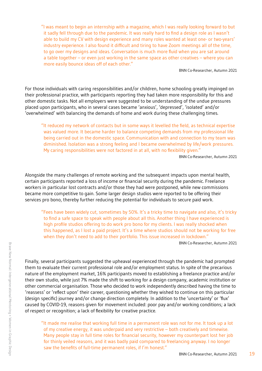<span id="page-18-0"></span>"I was meant to begin an internship with a magazine, which I was really looking forward to but it sadly fell through due to the pandemic. It was really hard to find a design role as I wasn't able to build my CV with design experience and many roles wanted at least one- or two-years' industry experience. I also found it difficult and tiring to have Zoom meetings all of the time, to go over my designs and ideas. Conversation is much more fluid when you are sat around a table together – or even just working in the same space as other creatives – where you can more easily bounce ideas off of each other."

BNN Co-Researcher, Autumn 2021

For those individuals with caring responsibilities and/or children, home schooling greatly impinged on their professional practice, with participants reporting they had taken more responsibility for this and other domestic tasks. Not all employers were suggested to be understanding of the undue pressures placed upon participants, who in several cases became 'anxious', 'depressed', 'isolated' and/or 'overwhelmed' with balancing the demands of home and work during these challenging times.

"It reduced my network of contacts but in some ways it levelled the field, as technical expertise was valued more. It became harder to balance competing demands from my professional life being carried out in the domestic space. Communication with and connection to my team was diminished. Isolation was a strong feeling and I became overwhelmed by life/work pressures. My caring responsibilities were not factored in at all, with no flexibility given."

BNN Co-Researcher, Autumn 2021

Alongside the many challenges of remote working and the subsequent impacts upon mental health, certain participants reported a loss of income or financial security during the pandemic. Freelance workers in particular lost contracts and/or those they had were postponed, while new commissions became more competitive to gain. Some larger design studios were reported to be offering their services pro bono, thereby further reducing the potential for individuals to secure paid work.

"Fees have been widely cut, sometimes by 50%. It's a tricky time to navigate and also, it's tricky to find a safe space to speak with people about all this. Another thing I have experienced is high profile studios offering to do work pro bono for my clients. I was really shocked when this happened, as I lost a paid project. It's a time where studios should not be working for free when they don't need to add to their portfolio. This issue increased in lockdown."

BNN Co-Researcher, Autumn 2021

Finally, several participants suggested the upheaval experienced through the pandemic had prompted them to evaluate their current professional role and/or employment status. In spite of the precarious nature of the employment market, 16% participants moved to establishing a freelance practice and/or their own studio, while just 7% made the shift to working for a design company, academic institution or other commercial organisation. Those who decided to work independently described having the time to 'reassess' or 'reflect upon' their career, questioning whether they wished to continue on this particular (design specific) journey and/or change direction completely. In addition to the 'uncertainty' or 'flux' caused by COVID-19, reasons given for movement included: poor pay and/or working conditions; a lack of respect or recognition; a lack of flexibility for creative practice.

"It made me realise that working full time in a permanent role was not for me. It took up a lot of my creative energy, it was underpaid and very restrictive – both creatively and timewise. Many people stay in full time roles for financial security, however my counterpart lost her job for thinly veiled reasons, and it was badly paid compared to freelancing anyway. I no longer saw the benefits of full-time permanent roles, if I'm honest."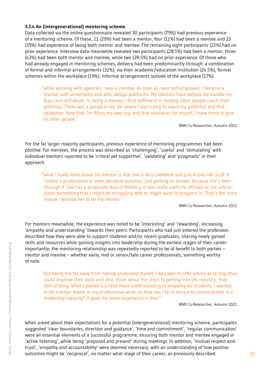#### **3.3.4 An (intergenerational) mentoring scheme**

Data collected via the online questionnaire revealed 30 participants (79%) had previous experience of a mentoring scheme. Of these, 11 (29%) had been a mentor, four (11%) had been a mentee and 15 (39%) had experience of being both mentor and mentee. The remaining eight participants (21%) had no prior experience. Interview data meanwhile revealed two participants (28.5%) had been a mentor, three (43%) had been both mentor and mentee, while two (28.5%) had no prior experience. Of those who had already engaged in mentoring schemes, delivery had been predominantly through: a combination of formal and informal arrangements (32%); via their academic/education institution (24.5%); formal schemes within the workplace (19%); informal arrangements outside of the workplace (17%).

"While working with agencies, I was a mentee. As soon as I was self-employed, I became a mentor with universities and also, design platforms. My mentors have helped me handle my fears and self-doubt. In being a mentor, I find fulfilment in helping other people reach their potential. There was a period in my life where I was trying to reach my potential and find validation. Now that I'm filling my own cup and that validation for myself, I have more to give to other people."

BNN Co-Researcher, Autumn 2021

For the far larger majority participants, previous experience of mentoring programmes had been positive. For mentees, the process was described as 'challenging', 'useful' and 'stimulating' with individual mentors reported to be 'critical yet supportive', 'validating' and 'pragmatic' in their approach.

"What I really liked about my mentor is that she is very confident and just knows her stuff. If I asked a professional or even personal question, just getting an answer because she's been through it. She has a pragmatic way of thinking. It was really useful to off-load or ask advice about something that I might be struggling with or might want to progress in. That's the main reason I wanted her to be my mentor."

BNN Co-Researcher, Autumn 2021

For mentors meanwhile, the experience was noted to be 'interesting' and 'rewarding', increasing 'empathy and understanding' towards their peers. Participants who had just entered the profession described how they were able to support students and/or recent graduates, sharing newly gained skills and resources while gaining insights into leadership during the earliest stages of their career. Importantly, the mentoring relationship was repeatedly reported to be of benefit to both parties – mentor and mentee – whether early, mid or senior/late career professionals, something worthy of note.

"Not being too far away from having graduated myself, I was able to offer advice as to how they could improve their work and also, think about the steps to getting into the industry, that sort of thing. What I gained is a little more understanding or empathy for students. I wanted to be a better leader in my professional work, so how can I be of service to someone else in a leadership capacity? It gave me some experience in that."

BNN Co-Researcher, Autumn 2021

When asked about their expectations for a potential (intergenerational) mentoring scheme, participants suggested 'clear boundaries, direction and guidance', 'time and commitment', 'regular communication' were all essential elements of a successful programme, ensuring both mentor and mentee engaged in 'active listening', while being 'prepared and present' during meetings. In addition, 'mutual respect and trust', 'empathy and accountability' were deemed necessary, with an understanding of how positive outcomes might be 'reciprocal', no matter what stage of their career, as previously described. 20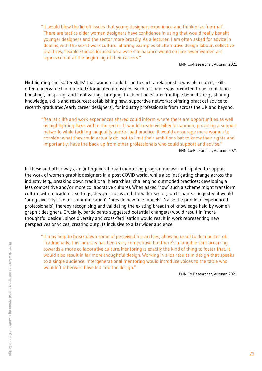"It would blow the lid off issues that young designers experience and think of as 'normal'. There are tactics older women designers have confidence in using that would really benefit younger designers and the sector more broadly. As a lecturer, I am often asked for advice in dealing with the sexist work culture. Sharing examples of alternative design labour, collective practices, flexible studios focused on a work-life balance would ensure fewer women are squeezed out at the beginning of their careers."

BNN Co-Researcher, Autumn 2021

Highlighting the 'softer skills' that women could bring to such a relationship was also noted, skills often undervalued in male led/dominated industries. Such a scheme was predicted to be 'confidence boosting', 'inspiring' and 'motivating', bringing 'fresh outlooks' and 'multiple benefits' (e.g., sharing knowledge, skills and resources; establishing new, supportive networks; offering practical advice to recently graduated/early career designers), for industry professionals from across the UK and beyond.

"Realistic life and work experiences shared could inform where there are opportunities as well as highlighting flaws within the sector. It would create visibility for women, providing a support network, while tackling inequality and/or bad practice. It would encourage more women to consider what they could actually do, not to limit their ambitions but to know their rights and importantly, have the back-up from other professionals who could support and advise." BNN Co-Researcher, Autumn 2021

In these and other ways, an (intergenerational) mentoring programme was anticipated to support the work of women graphic designers in a post-COVID world, while also instigating change across the industry (e.g., breaking down traditional hierarchies; challenging outmoded practices; developing a less competitive and/or more collaborative culture). When asked 'how' such a scheme might transform culture within academic settings, design studios and the wider sector, participants suggested it would 'bring diversity', 'foster communication', 'provide new role models', 'raise the profile of experienced professionals', thereby recognising and validating the existing breadth of knowledge held by women graphic designers. Crucially, participants suggested potential change(s) would result in 'more thoughtful design', since diversity and cross-fertilisation would result in work representing new perspectives or voices, creating outputs inclusive to a far wider audience.

"It may help to break down some of perceived hierarchies, allowing us all to do a better job. Traditionally, this industry has been very competitive but there's a tangible shift occurring towards a more collaborative culture. Mentoring is exactly the kind of thing to foster that. It would also result in far more thoughtful design. Working in silos results in design that speaks to a single audience. Intergenerational mentoring would introduce voices to the table who wouldn't otherwise have fed into the design."

BNN Co-Researcher, Autumn 2021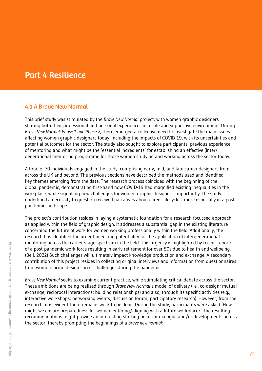# <span id="page-21-0"></span>Part 4 Resilience

#### 4.1 A Brave New Normal

This brief study was stimulated by the *Brave New Normal* project, with women graphic designers sharing both their professional and personal experiences in a safe and supportive environment. During *Brave New Normal: Phase 1 and Phase 2*, there emerged a collective need to investigate the main issues affecting women graphic designers today, including the impacts of COVID-19, with its uncertainties and potential outcomes for the sector. The study also sought to explore participants' previous experience of mentoring and what might be the 'essential ingredients' for establishing an effective (inter) generational mentoring programme for those women studying and working across the sector today.

A total of 70 individuals engaged in the study, comprising early, mid, and late career designers from across the UK and beyond. The previous sections have described the methods used and identified key themes emerging from the data. The research process coincided with the beginning of the global pandemic, demonstrating first-hand how COVID-19 had magnified existing inequalities in the workplace, while signalling new challenges for women graphic designers. Importantly, the study underlined a necessity to question received narratives about career lifecycles, more especially in a postpandemic landscape.

The project's contribution resides in laying a systematic foundation for a research-focussed approach as applied within the field of graphic design. It addresses a substantial gap in the existing literature concerning the future of work for women working professionally within the field. Additionally, the research has identified the urgent need and potentiality for the application of intergenerational mentoring across the career stage spectrum in the field. This urgency is highlighted by recent reports of a post-pandemic work force resulting in early retirement for over 50s due to health and wellbeing. (Bell, 2022) Such challenges will ultimately impact knowledge production and exchange. A secondary contribution of this project resides in collecting original interviews and information from questionnaires from women facing design career challenges during the pandemic.

*Brave New Normal* seeks to examine current practice, while stimulating critical debate across the sector. These ambitions are being realised through *Brave New Normal*'s model of delivery (i.e., co-design; mutual exchange; reciprocal interactions; building relationships) and also, through its specific activities (e.g., interactive workshops; networking events; discussion forum; participatory research). However, from the research, it is evident there remains work to be done. During the study, participants were asked 'How might we ensure preparedness for women entering/aligning with a future workplace?' The resulting recommendations might provide an interesting starting point for dialogue and/or developments across the sector, thereby prompting the beginnings of a *brave new normal*: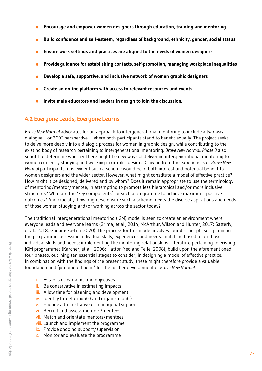- <span id="page-22-0"></span>**Encourage and empower women designers through education, training and mentoring**   $\bullet$
- **Build confidence and self-esteem, regardless of background, ethnicity, gender, social status**
- **Ensure work settings and practices are aligned to the needs of women designers**  $\bullet$
- **Provide guidance for establishing contacts, self-promotion, managing workplace inequalities**  $\bullet$
- **Develop a safe, supportive, and inclusive network of women graphic designers**  $\bullet$
- **Create an online platform with access to relevant resources and events**  $\bullet$
- **Invite male educators and leaders in design to join the discussion.**

#### 4.2 Everyone Leads, Everyone Learns

*Brave New Normal* advocates for an approach to intergenerational mentoring to include a two-way dialogue – or 360 $^{\circ}$  perspective – where both participants stand to benefit equally. The project seeks to delve more deeply into a dialogic process for women in graphic design, while contributing to the existing body of research pertaining to intergenerational mentoring. *Brave New Normal: Phase 3* also sought to determine whether there might be new ways of delivering intergenerational mentoring to women currently studying and working in graphic design. Drawing from the experiences of *Brave New Normal* participants, it is evident such a scheme would be of both interest and potential benefit to women designers and the wider sector. However, what might constitute a model of effective practice? How might it be designed, delivered and by whom? Does it remain appropriate to use the terminology of mentoring/mentor/mentee, in attempting to promote less hierarchical and/or more inclusive structures? What are the 'key components' for such a programme to achieve maximum, positive outcomes? And crucially, how might we ensure such a scheme meets the diverse aspirations and needs of those women studying and/or working across the sector today?

The traditional intergenerational mentoring (IGM) model is seen to create an environment where everyone leads and everyone learns (Grima, et al., 2014; McArthur, Wilson and Hunter, 2017; Satterly, et al., 2018; Gadomska-Lila, 2020). The process for this model involves four distinct phases: planning the programme; assessing individual skills, experiences and needs; matching based upon those individual skills and needs; implementing the mentoring relationships. Literature pertaining to existing IGM programmes (Karcher, et al., 2006; Hatton-Yeo and Telfe, 2008), build upon the aforementioned four phases, outlining ten essential stages to consider, in designing a model of effective practice. In combination with the findings of the present study, these might therefore provide a valuable foundation and 'jumping off point' for the further development of *Brave New Normal*.

- i. Establish clear aims and objectives
- ii. Be conservative in estimating impacts
- iii. Allow time for planning and development
- iv. Identify target group(s) and organisation(s)
- v. Engage administrative or managerial support
- vi. Recruit and assess mentors/mentees
- vii. Match and orientate mentors/mentees
- viii. Launch and implement the programme
- ix. Provide ongoing support/supervision
- x. Monitor and evaluate the programme.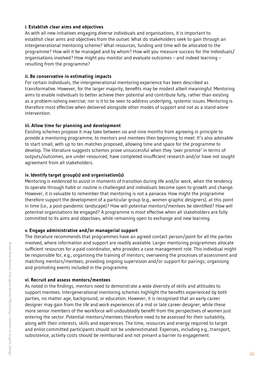#### **i. Establish clear aims and objectives**

As with all new initiatives engaging diverse individuals and organisations, it is important to establish clear aims and objectives from the outset. What do stakeholders seek to gain through an intergenerational mentoring scheme? What resources, funding and time will be allocated to the programme? How will it be managed and by whom? How will you measure success for the individuals/ organisations involved? How might you monitor and evaluate outcomes – and indeed learning – resulting from the programme?

#### **ii. Be conservative in estimating impacts**

For certain individuals, the intergenerational mentoring experience has been described as transformative. However, for the larger majority, benefits may be modest albeit meaningful. Mentoring aims to enable individuals to better achieve their potential and contribute fully, rather than existing as a problem-solving exercise; nor is it to be seen to address underlying, systemic issues. Mentoring is therefore most effective when delivered alongside other modes of support and not as a stand-alone intervention.

#### **iii. Allow time for planning and development**

Existing schemes propose it may take between six and nine months from agreeing in principle to provide a mentoring programme, to mentors and mentees then beginning to meet. It's also advisable to start small, with up to ten matches proposed, allowing time and space for the programme to develop. The literature suggests schemes prove unsuccessful when they 'over promise' in terms of outputs/outcomes, are under-resourced, have completed insufficient research and/or have not sought agreement from all stakeholders.

#### **iv. Identify target group(s) and organisation(s)**

Mentoring is evidenced to assist in moments of transition during life and/or work, when the tendency to operate through habit or routine is challenged and individuals become open to growth and change. However, it is valuable to remember that mentoring is not a panacea. How might the programme therefore support the development of a particular group (e.g., women graphic designers), at this point in time (i.e., a post-pandemic landscape)? How will potential mentors/mentees be identified? How will potential organisations be engaged? A programme is most effective when all stakeholders are fully committed to its aims and objectives, while remaining open to exchange and new learning.

#### **v. Engage administrative and/or managerial support**

The literature recommends that programmes have an agreed contact person/point for all the parties involved, where information and support are readily available. Larger mentoring programmes allocate sufficient resources for a paid coordinator, who provides a case management role. This individual might be responsible for, e.g., organising the training of mentors; overseeing the processes of assessment and matching mentors/mentees; providing ongoing supervision and/or support for pairings; organising and promoting events included in the programme.

#### **vi. Recruit and assess mentors/mentees**

As noted in the findings, mentors need to demonstrate a wide diversity of skills and attitudes to support mentees. Intergenerational mentoring schemes highlight the benefits experienced by both parties, no matter age, background, or education. However, it is recognised that an early career designer may gain from the life and work experiences of a mid or late career designer, while these more senior members of the workforce will undoubtedly benefit from the perspectives of women just entering the sector. Potential mentors/mentees therefore need to be assessed for their suitability, along with their interests, skills and experiences. The time, resources and energy required to target and enlist committed participants should not be underestimated. Expenses, including e.g., transport, subsistence, activity costs should be reimbursed and not present a barrier to engagement.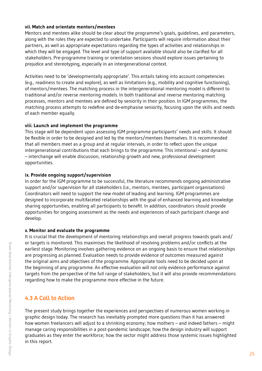#### <span id="page-24-0"></span>**vii. Match and orientate mentors/mentees**

Mentors and mentees alike should be clear about the programme's goals, guidelines, and parameters, along with the roles they are expected to undertake. Participants will require information about their partners, as well as appropriate expectations regarding the types of activities and relationships in which they will be engaged. The level and type of support available should also be clarified for all stakeholders. Pre-programme training or orientation sessions should explore issues pertaining to prejudice and stereotyping, especially in an intergenerational context.

Activities need to be 'developmentally appropriate'. This entails taking into account competencies (e.g., readiness to create and explore), as well as limitations (e.g., mobility and cognitive functioning), of mentors/mentees. The matching process in the intergenerational mentoring model is different to traditional and/or reverse mentoring models. In both traditional and reverse mentoring matching processes, mentors and mentees are defined by seniority in their position. In IGM programmes, the matching process attempts to redefine and de-emphasise seniority, focusing upon the skills and needs of each member equally.

#### **viii. Launch and implement the programme**

This stage will be dependent upon assessing IGM programme participants' needs and skills. It should be flexible in order to be designed and led by the mentors/mentees themselves. It is recommended that all members meet as a group and at regular intervals, in order to reflect upon the unique intergenerational contributions that each brings to the programme. This intentional – and dynamic – interchange will enable discussion, relationship growth and new, professional development opportunities.

#### **ix. Provide ongoing support/supervision**

In order for the IGM programme to be successful, the literature recommends ongoing administrative support and/or supervision for all stakeholders (i.e., mentors, mentees, participant organisations). Coordinators will need to support the new model of leading and learning. IGM programmes are designed to incorporate multifaceted relationships with the goal of enhanced learning and knowledge sharing opportunities, enabling all participants to benefit. In addition, coordinators should provide opportunities for ongoing assessment as the needs and experiences of each participant change and develop.

#### **x. Monitor and evaluate the programme**

It is crucial that the development of mentoring relationships and overall progress towards goals and/ or targets is monitored. This maximises the likelihood of resolving problems and/or conflicts at the earliest stage. Monitoring involves gathering evidence on an ongoing basis to ensure that relationships are progressing as planned. Evaluation needs to provide evidence of outcomes measured against the original aims and objectives of the programme. Appropriate tools need to be decided upon at the beginning of any programme. An effective evaluation will not only evidence performance against targets from the perspective of the full range of stakeholders, but it will also provide recommendations regarding how to make the programme more effective in the future.

#### 4.3 A Call to Action

The present study brings together the experiences and perspectives of numerous women working in graphic design today. The research has inevitably prompted more questions than it has answered: how women freelancers will adjust to a shrinking economy; how mothers – and indeed fathers – might manage caring responsibilities in a post-pandemic landscape; how the design industry will support graduates as they enter the workforce; how the sector might address those systemic issues highlighted in this report.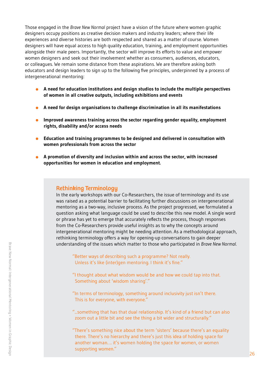Those engaged in the *Brave New Normal* project have a vision of the future where women graphic designers occupy positions as creative decision makers and industry leaders; where their life experiences and diverse histories are both respected and shared as a matter of course. Women designers will have equal access to high quality education, training, and employment opportunities alongside their male peers. Importantly, the sector will improve its efforts to value and empower women designers and seek out their involvement whether as consumers, audiences, educators, or colleagues. We remain some distance from these aspirations. We are therefore asking both educators and design leaders to sign up to the following five principles, underpinned by a process of intergenerational mentoring:

- **A need for education institutions and design studios to include the multiple perspectives of women in all creative outputs, including exhibitions and events**
- **A need for design organisations to challenge discrimination in all its manifestations**
- **Improved awareness training across the sector regarding gender equality, employment**   $\bullet$ **rights, disability and/or access needs**
- **Education and training programmes to be designed and delivered in consultation with women professionals from across the sector**
- **A promotion of diversity and inclusion within and across the sector, with increased opportunities for women in education and employment.**

#### Rethinking Terminology

In the early workshops with our Co-Researchers, the issue of terminology and its use was raised as a potential barrier to facilitating further discussions on intergenerational mentoring as a two-way, inclusive process. As the project progressed, we formulated a question asking what language could be used to describe this new model. A single word or phrase has yet to emerge that accurately reflects the process, though responses from the Co-Researchers provide useful insights as to why the concepts around intergenerational mentoring might be needing attention. As a methodological approach, rethinking terminology offers a way for opening-up conversations to gain deeper understanding of the issues which matter to those who participated in *Brave New Normal*.

"Better ways of describing such a programme? Not really. Unless it's like (inter)gen mentoring. I think it's fine."

"I thought about what wisdom would be and how we could tap into that. Something about 'wisdom sharing'."

"In terms of terminology, something around inclusivity just isn't there. This is for everyone, with everyone."

"...something that has that dual relationship. It's kind of a friend but can also zoom out a little bit and see the thing a bit wider and structurally."

"There's something nice about the term 'sisters' because there's an equality there. There's no hierarchy and there's just this idea of holding space for another woman…. it's women holding the space for women, or women supporting women."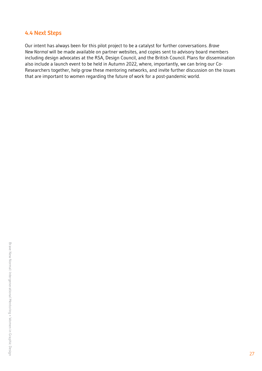#### <span id="page-26-0"></span>4.4 Next Steps

Our intent has always been for this pilot project to be a catalyst for further conversations. *Brave New Normal* will be made available on partner websites, and copies sent to advisory board members including design advocates at the RSA, Design Council, and the British Council. Plans for dissemination also include a launch event to be held in Autumn 2022, where, importantly, we can bring our Co-Researchers together, help grow these mentoring networks, and invite further discussion on the issues that are important to women regarding the future of work for a post-pandemic world.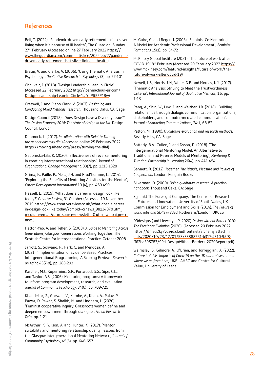#### <span id="page-27-0"></span>**References**

Bell, T. (2022). 'Pandemic-driven early retirement isn't a silver lining when it's because of ill health', The Guardian, Sunday 27<sup>th</sup> February (Accessed online 27 February 2022 [https://](https://www.theguardian.com/commentisfree/2022feb/27pandemic-driven-early-retirement-isnt-silver-lining-ill-health) [www.theguardian.com/commentisfree/2022feb/27pandemic](https://www.theguardian.com/commentisfree/2022feb/27pandemic-driven-early-retirement-isnt-silver-lining-ill-health)[driven-early-retirement-isnt-silver-lining-ill-health](https://www.theguardian.com/commentisfree/2022feb/27pandemic-driven-early-retirement-isnt-silver-lining-ill-health))

Braun, V. and Clarke, V. (2006). 'Using Thematic Analysis in Psychology', *Qualitative Research in Psychology* (3) pp. 77-101

Choukeir, J. (2018). 'Design Leadership Lean In Circle' (Accessed 22 February 202[2](http://joannachoukeir.com/Design-Leadership-Lean-In-Circle-1#.YhPlt5PP1Bw) [http://joannachoukeir.com/](http://joannachoukeir.com/Design-Leadership-Lean-In-Circle-1#.YhPlt5PP1Bw) [Design-Leadership-Lean-In-Circle-1#.YhPlt5PP1Bw](http://joannachoukeir.com/Design-Leadership-Lean-In-Circle-1#.YhPlt5PP1Bw))

Creswell, J. and Plano Clark, V. (2007). *Designing and Conducting Mixed Methods Research*. Thousand Oaks, CA: Sage

Design Council (2018). 'Does Design have a Diversity Issue?' *The Design Economy 2018: The state of design in the UK*. Design Council, London

Dimmock, L. (2017). *In collaboration with Deloitte Turning the gender diversity dial* (Accessed online 25 February 2022 [https://moving-ahead.org/press/turning-the-dial\)](https://moving-ahead.org/press/turning-the-dial)

Gadomska-Lila, K. (2020). 'Effectiveness of reverse mentoring in creating intergenerational relationships', *Journal of Organizational Change Management*, 33(7), pp. 1313-1328

Grima, F., Paillé, P., Mejía, J.H. and Prud'homme, L. (2014). 'Exploring the Benefits of Mentoring Activities for the Mentor', *Career Development International* 19 (4), pp. 469-490

Hassell, L. (2019). 'What does a career in design look like today?' *Creative Review*, 31 October (Accessed 19 November 2019 [https://www.creativereview.co.uk/what-does-a-career](https://www.creativereview.co.uk/what-does-a-career-in-design-look-like today/?cmpid=crnews_9813407&utm_medium=email&utm_source=newsletter&utm_campaign=cr_news)[in-design-look-like today/?cmpid=crnews\\_9813407&utm\\_](https://www.creativereview.co.uk/what-does-a-career-in-design-look-like today/?cmpid=crnews_9813407&utm_medium=email&utm_source=newsletter&utm_campaign=cr_news) [medium=email&utm\\_source=newsletter&utm\\_campaign=cr\\_](https://www.creativereview.co.uk/what-does-a-career-in-design-look-like today/?cmpid=crnews_9813407&utm_medium=email&utm_source=newsletter&utm_campaign=cr_news) [news](https://www.creativereview.co.uk/what-does-a-career-in-design-look-like today/?cmpid=crnews_9813407&utm_medium=email&utm_source=newsletter&utm_campaign=cr_news))

Hatton-Yeo, A. and Telfer, S. (2008). *A Guide to Mentoring Across Generations*, Glasgow: Generations Working Together: The Scottish Centre for intergenerational Practice, October 2008

Jarrott, S., Scrivano, R., Park, C. and Mendoza, A. (2021). 'Implementation of Evidence-Based Practices in Intergenerational Programming: A Scoping Review', *Research on Aging* 43(7-8), pp. 283-293

Karcher, M.J., Kuperminc, G.P., Portwood, S.G., Sipe, C.L., and Taylor, A.S. (2006). Mentoring programs: A framework to inform program development, research, and evaluation. *Journal of Community Psychology,* 34(6), pp. 709-725

Khandekar, S., Ghewde, V., Kambe, A., Khan, A., Palav, P. Pawar, D. Pawar, S. Shaikh, M. and Lingham, L. (2020). 'Feminist cooperative inquiry: Grassroots women define and deepen empowerment through dialogue', *Action Research* 0(0), pp. 1-21

McArthur, K., Wilson, A. and Hunter, K. (2017). 'Mentor suitability and mentoring relationship quality: lessons from the Glasgow Intergenerational Mentoring Network', *Journal of Community Psychology*, 45(5), pp. 646-657

McGuire, G. and Reger, J. (2003). 'Feminist Co-Mentoring: A Model for Academic Professional Development', *Feminist Formations* 15(1), pp. 54-72

McKinsey Global Institute (2021). 'The future of work after COVID-19' 8th February (Accessed 20 February 2022 [https://](https://www.mckinsey.com/featured-insights/future-of-work/the-future-of-work-after-covid-19) [www.mckinsey.com/featured-insights/future-of-work/the](https://www.mckinsey.com/featured-insights/future-of-work/the-future-of-work-after-covid-19)[future-of-work-after-covid-19](https://www.mckinsey.com/featured-insights/future-of-work/the-future-of-work-after-covid-19))

Nowell, L.S., Norris, J.M., White, D.E. and Moules, N.J. (2017). 'Thematic Analysis: Striving to Meet the Trustworthiness Criteria', *International Journal of Qualitative Methods,* 16, pp. 1-13

Pang, A., Shin, W., Lew, Z. and Walther, J.B. (2018). 'Building relationships through dialogic communication: organizations, stakeholders, and computer-mediated communication', *Journal of Marketing Communications*, 24:1, 68-82

Patton, M. (1990). *Qualitative evaluation and research methods.* Beverly Hills, CA: Sage

Satterly, B.A., Cullen, J. and Dyson, D. (2018). 'The Intergenerational Mentoring Model: An Alternative to Traditional and Reverse Models of Mentoring', *Mentoring & Tutoring: Partnership in Learning* 26(4), pp. 441-454

Sennett, R. (2012). *Together: The Rituals, Pleasure and Politics of Cooperation*. London: Penguin Books

Silverman, D. (2000). *Doing qualitative research: A practical handbook*. Thousand Oaks, CA: Sage

Z\_punkt The Foresight Company, The Centre for Research in Futures and Innovation, University of South Wales, UK Commission for Employment and Skills (2014). *The Future of Work: Jobs and Skills in 2030*. Rotheram/London: UKCES

99designs (and Llewellyn, P. 2020) *Design Without Border 2020: The Freelance Evolution* (2020). (Accessed 20 February 202[2](https://dmeu2ky7yoz4d.cloudfront.net/alchemy attachments/2020/10/23/12/01/53/33888751-b317-4310-95f8-ff62ba395783/99d_DesignWithoutBorders_2020Report.pdf) [https://dmeu2ky7yoz4d.cloudfront.net/alchemy attachm](https://dmeu2ky7yoz4d.cloudfront.net/alchemy attachments/2020/10/23/12/01/53/33888751-b317-4310-95f8-ff62ba395783/99d_DesignWithoutBorders_2020Report.pdf) [ents/2020/10/23/12/01/53/33888751-b317-4310-95f8](https://dmeu2ky7yoz4d.cloudfront.net/alchemy attachments/2020/10/23/12/01/53/33888751-b317-4310-95f8-ff62ba395783/99d_DesignWithoutBorders_2020Report.pdf) [ff62ba395783/99d\\_DesignWithoutBorders\\_2020Report.pdf\)](https://dmeu2ky7yoz4d.cloudfront.net/alchemy attachments/2020/10/23/12/01/53/33888751-b317-4310-95f8-ff62ba395783/99d_DesignWithoutBorders_2020Report.pdf)

Walmsley, B., Gilmore, A., O'Brien, and Torreggiani, A. (2022). *Culture in Crisis: Impacts of Covid-19 on the UK cultural sector and where we go from here*, UKRI: AHRC and Centre for Cultural Value, University of Leeds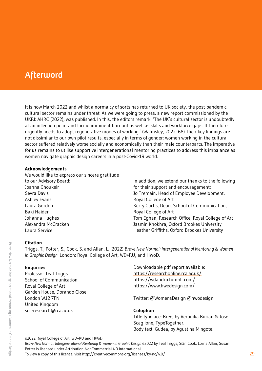# <span id="page-28-0"></span>**Afterword**

It is now March 2022 and whilst a normalcy of sorts has returned to UK society, the post-pandemic cultural sector remains under threat. As we were going to press, a new report commissioned by the UKRI: AHRC (2022), was published. In this, the editors remark: 'The UK's cultural sector is undoubtedly at an inflection point and facing imminent burnout as well as skills and workforce gaps. It therefore urgently needs to adopt regenerative modes of working.' (Walmsley, 2022: 68) Their key findings are not dissimilar to our own pilot results, especially in terms of gender: women working in the cultural sector suffered relatively worse socially and economically than their male counterparts. The imperative for us remains to utilise supportive intergenerational mentoring practices to address this imbalance as women navigate graphic design careers in a post-Covid-19 world.

#### **Acknowledgements**

We would like to express our sincere gratitude to our Advisory Board: Joanna Choukeir Sevra Davis Ashley Evans Laura Gordon Baki Haider Johanna Hughes Alexandra McCracken Laura Service

In addition, we extend our thanks to the following for their support and encouragement: Jo Tremain, Head of Employee Development, Royal College of Art Kerry Curtis, Dean, School of Communication, Royal College of Art Tom Eghan, Research Office, Royal College of Art Jasmin Khokhra, Oxford Brookes University Heather Griffiths, Oxford Brookes University

#### **Citation**

Triggs, T., Potter, S., Cook, S. and Allan, L. (2022) *Brave New Normal: Intergenerational Mentoring & Women in Graphic Design*. London: Royal College of Art, WD+RU, and HWoD.

#### **Enquiries**

Professor Teal Triggs School of Communication Royal College of Art Garden House, Dorando Close London W12 7FN United Kingdom [soc-research@rca.ac.uk](mailto:soc-research@rca.ac.uk)

Downloadable pdf report available: <https://researchonline.rca.ac.uk/> <https://wdandru.tumblr.com>/ <https://www.hwodesign.com/>

Twitter: @WomensDesign @hwodesign

#### **Colophon**

Title typeface: Bree, by Veronika Burian & José Scaglione, TypeTogether. Body text: Gudea, by Agustina Mingote.

*Brave New Normal: Intergenerational Mentoring & Women in Graphic Design* ©2022 by Teal Triggs, Siân Cook, Lorna Allan, Susan Potter is licensed under Attribution-NonCommercial 4.0 International. To view a copy of this license, visit <http://creativecommons.org/licenses/by-nc/4.0/>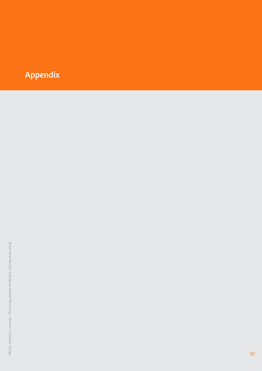# Appendix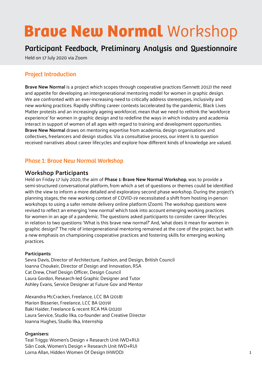# **Brave New Normal Workshop**

# Participant Feedback, Preliminary Analysis and Questionnaire

Held on 17 July 2020 via Zoom

#### Project Introduction

**Brave New Normal** is a project which scopes through cooperative practices (Sennett 2012) the need and appetite for developing an intergenerational mentoring model for women in graphic design. We are confronted with an ever-increasing need to critically address stereotypes, inclusivity and new working practices. Rapidly shifting career contexts (accelerated by the pandemic, Black Lives Matter protests and an increasingly ageing workforce), mean that we need to rethink the 'workforce experience' for women in graphic design and to redefine the ways in which industry and academia interact in support of women of all ages with regard to training and development opportunities. **Brave New Normal** draws on mentoring expertise from academia, design organisations and collectives, freelancers and design studios. Via a consultative process, our intent is to question received narratives about career lifecycles and explore how different kinds of knowledge are valued.

#### Phase 1: Brave New Normal Workshop

#### **Workshop Participants**

Held on Friday 17 July 2020, the aim of **Phase 1: Brave New Normal Workshop**, was to provide a semi-structured conversational platform, from which a set of questions or themes could be identified with the view to inform a more detailed and exploratory second phase workshop. During the project's planning stages, the new working context of COVID-19 necessitated a shift from hosting in-person workshops to using a safer remote delivery online platform (Zoom). The workshop questions were revised to reflect an emerging 'new normal' which took into account emerging working practices for women in an age of a pandemic. The questions asked participants to consider career lifecycles in relation to two questions: 'What is this brave new normal?' And, 'what does it mean for women in graphic design?' The role of intergenerational mentoring remained at the core of the project, but with a new emphasis on championing cooperative practices and fostering skills for emerging working practices.

#### **Participants:**

Sevra Davis, Director of Architecture, Fashion, and Design, British Council Joanna Choukeir, Director of Design and Innovation, RSA Cat Drew, Chief Design Officer, Design Council Laura Gordon, Research-led Graphic Designer and Tutor Ashley Evans, Service Designer at Future Gov and Mentor

Alexandra McCracken, Freelance, LCC BA (2018) Marion Bisserier, Freelance, LCC BA (2019) Baki Haider, Freelance & recent RCA MA (2020) Laura Service, Studio Ilka, co-founder and Creative Director Joanna Hughes, Studio Ilka, Internship

#### **Organisers:**

Teal Triggs: Women's Design + Research Unit (WD+RU) Siân Cook, Women's Design + Research Unit (WD+RU) Lorna Allan, Hidden Women Of Design (HWOD)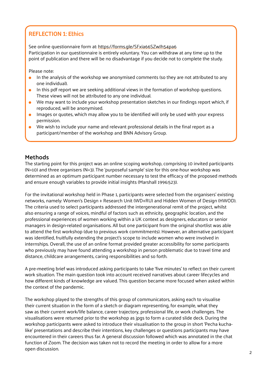### REFLECTION 1: Ethics

See online questionnaire form at: <https://forms.gle/SFxia66SZwJh54pa6> Participation in our questionnaire is entirely voluntary. You can withdraw at any time up to the point of publication and there will be no disadvantage if you decide not to complete the study.

Please note:

- In the analysis of the workshop we anonymised comments (so they are not attributed to any  $\bullet$ one individual).
- In this pdf report we are seeking additional views in the formation of workshop questions. These views will not be attributed to any one individual.
- We may want to include your workshop presentation sketches in our findings report which, if reproduced, will be anonymised.
- Images or quotes, which may allow you to be identified will only be used with your express permission.
- We wish to include your name and relevant professional details in the final report as a participant/member of the workshop and BNN Advisory Group.

#### **Methods**

The starting point for this project was an online scoping workshop, comprising 10 invited participants (N=10) and three organisers (N=3). The 'purposeful sample' size for this one-hour workshop was determined as an optimum participant number necessary to test the efficacy of the proposed methods and ensure enough variables to provide initial insights (Marshall 1996:523).

For the invitational workshop held in Phase 1, participants were selected from the organisers' existing networks, namely: Women's Design + Research Unit (WD+RU) and Hidden Women of Design (HWOD). The criteria used to select participants addressed the intergenerational remit of the project, whilst also ensuring a range of voices, mindful of factors such as ethnicity, geographic location, and the professional experiences of women working within a UK context as designers, educators or senior managers in design-related organisations. All but one participant from the original shortlist was able to attend the first workshop (due to previous work commitments). However, an alternative participant was identified, fruitfully extending the project's scope to include women who were involved in internships. Overall, the use of an online format provided greater accessibility for some participants who previously may have found attending a workshop in person problematic due to travel time and distance, childcare arrangements, caring responsibilities and so forth.

A pre-meeting brief was introduced asking participants to take 'five minutes' to reflect on their current work situation. The main question took into account received narratives about career lifecycles and how different kinds of knowledge are valued. This question became more focused when asked within the context of the pandemic.

The workshop played to the strengths of this group of communicators, asking each to visualise their current situation in the form of a sketch or diagram representing, for example, what they saw as their current work/life balance, career trajectory, professional life, or work challenges. The visualisations were returned prior to the workshop as jpgs to form a curated slide deck. During the workshop participants were asked to introduce their visualisation to the group in short 'Pecha kuchalike' presentations and describe their intentions, key challenges or questions participants may have encountered in their careers thus far. A general discussion followed which was annotated in the chat function of Zoom. The decision was taken not to record the meeting in order to allow for a more open discussion.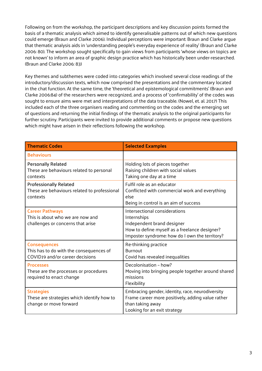Following on from the workshop, the participant descriptions and key discussion points formed the basis of a thematic analysis which aimed to identify generalisable patterns out of which new questions could emerge (Braun and Clarke 2006). Individual perceptions were important: Braun and Clarke argue that thematic analysis aids in 'understanding people's everyday experience of reality' (Braun and Clarke 2006: 80). The workshop sought specifically to gain views from participants 'whose views on topics are not known' to inform an area of graphic design practice which has historically been under-researched. (Braun and Clarke 2006: 83)

Key themes and subthemes were coded into categories which involved several close readings of the introductory/discussion texts, which now comprised the presentations and the commentary located in the chat function. At the same time, the 'theoretical and epistemological commitments' (Braun and Clarke 2006:84) of the researchers were recognized, and a process of 'confirmability' of the codes was sought to ensure aims were met and interpretations of the data traceable. (Nowel, et. al. 2017) This included each of the three organisers reading and commenting on the codes and the emerging set of questions and returning the initial findings of the thematic analysis to the original participants for further scrutiny. Participants were invited to provide additional comments or propose new questions which might have arisen in their reflections following the workshop.

| <b>Thematic Codes</b>                                                                             | <b>Selected Examples</b>                                                                                                                                                      |
|---------------------------------------------------------------------------------------------------|-------------------------------------------------------------------------------------------------------------------------------------------------------------------------------|
| <b>Behaviours</b>                                                                                 |                                                                                                                                                                               |
| <b>Personally Related</b><br>These are behaviours related to personal<br>contexts                 | Holding lots of pieces together<br>Raising children with social values<br>Taking one day at a time                                                                            |
| <b>Professionally Related</b><br>These are behaviours related to professional<br>contexts         | Fulfil role as an educator<br>Conflicted with commercial work and everything<br>else<br>Being in control is an aim of success                                                 |
| <b>Career Pathways</b><br>This is about who we are now and<br>challenges or concerns that arise   | Intersectional considerations<br>Internships<br>Independent brand designer<br>How to define myself as a freelance designer?<br>Imposter syndrome: how do I own the territory? |
| <b>Consequences</b><br>This has to do with the consequences of<br>COVID19 and/or career decisions | Re-thinking practice<br><b>Burnout</b><br>Covid has revealed inequalities                                                                                                     |
| <b>Processes</b><br>These are the processes or procedures<br>required to enact change             | Decolonisation - how?<br>Moving into bringing people together around shared<br>missions<br>Flexibility                                                                        |
| <b>Strategies</b><br>These are strategies which identify how to<br>change or move forward         | Embracing gender, identity, race, neurodiversity<br>Frame career more positively, adding value rather<br>than taking away<br>Looking for an exit strategy                     |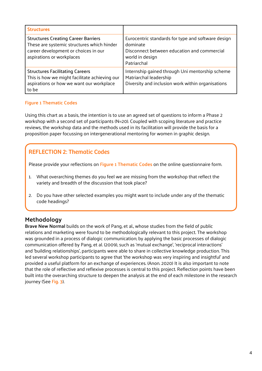| <b>Structures</b>                                                                                                                                             |                                                                                                                                                 |
|---------------------------------------------------------------------------------------------------------------------------------------------------------------|-------------------------------------------------------------------------------------------------------------------------------------------------|
| <b>Structures Creating Career Barriers</b><br>These are systemic structures which hinder<br>career development or choices in our<br>aspirations or workplaces | Eurocentric standards for type and software design<br>dominate<br>Disconnect between education and commercial<br>world in design<br>Patriarchal |
| <b>Structures Facilitating Careers</b><br>This is how we might facilitate achieving our<br>aspirations or how we want our workplace<br>to be                  | Internship gained through Uni mentorship scheme<br>Matriarchal leadership<br>Diversity and inclusion work within organisations                  |

#### **Figure 1 Thematic Codes**

Using this chart as a basis, the intention is to use an agreed set of questions to inform a Phase 2 workshop with a second set of participants (N=20). Coupled with scoping literature and practice reviews, the workshop data and the methods used in its facilitation will provide the basis for a proposition paper focussing on intergenerational mentoring for women in graphic design.

#### REFLECTION 2: Thematic Codes

Please provide your reflections on **Figure 1 Thematic Codes** on the online questionnaire form.

- 1. What overarching themes do you feel we are missing from the workshop that reflect the variety and breadth of the discussion that took place?
- 2. Do you have other selected examples you might want to include under any of the thematic code headings?

#### **Methodology**

**Brave New Normal** builds on the work of Pang, et al., whose studies from the field of public relations and marketing were found to be methodologically relevant to this project. The workshop was grounded in a process of dialogic communication; by applying the basic processes of dialogic communication offered by Pang, et al. (2009), such as 'mutual exchange', 'reciprocal interactions' and 'building relationships', participants were able to share in collective knowledge production. This led several workshop participants to agree that 'the workshop was very inspiring and insightful' and provided a useful platform for an exchange of experiences. (Anon. 2020) It is also important to note that the role of reflective and reflexive processes is central to this project. Reflection points have been built into the overarching structure to deepen the analysis at the end of each milestone in the research journey (See **Fig. 3**).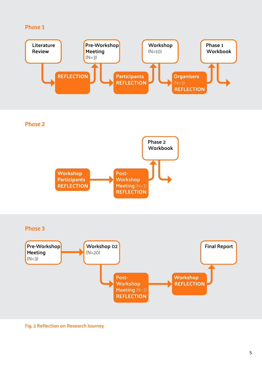#### Phase 1



**Fig. 3 Reflection on Research Journey**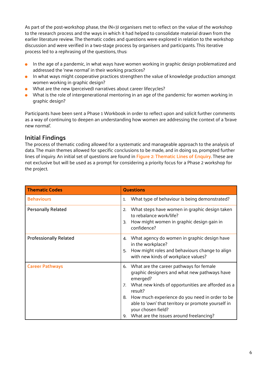As part of the post-workshop phase, the (N=3) organisers met to reflect on the value of the workshop to the research process and the ways in which it had helped to consolidate material drawn from the earlier literature review. The thematic codes and questions were explored in relation to the workshop discussion and were verified in a two-stage process by organisers and participants. This iterative process led to a rephrasing of the questions, thus:

- In the age of a pandemic, in what ways have women working in graphic design problematized and  $\bullet$ addressed the 'new normal' in their working practices?
- In what ways might cooperative practices strengthen the value of knowledge production amongst women working in graphic design?
- What are the new (perceived) narratives about career lifecycles?
- What is the role of intergenerational mentoring in an age of the pandemic for women working in graphic design?

Participants have been sent a Phase 1 Workbook in order to reflect upon and solicit further comments as a way of continuing to deepen an understanding how women are addressing the context of a 'brave new normal'.

#### **Initial Findings**

The process of thematic coding allowed for a systematic and manageable approach to the analysis of data. The main themes allowed for specific conclusions to be made, and in doing so, prompted further lines of inquiry. An initial set of questions are found in **Figure 2: Thematic Lines of Enquiry**. These are not exclusive but will be used as a prompt for considering a priority focus for a Phase 2 workshop for the project.

| <b>Thematic Codes</b>         | <b>Questions</b>                                                                                                                                                                                                                                                                                                                                                      |
|-------------------------------|-----------------------------------------------------------------------------------------------------------------------------------------------------------------------------------------------------------------------------------------------------------------------------------------------------------------------------------------------------------------------|
| <b>Behaviours</b>             | What type of behaviour is being demonstrated?<br>1.                                                                                                                                                                                                                                                                                                                   |
| <b>Personally Related</b>     | What steps have women in graphic design taken<br>2.<br>to rebalance work/life?<br>How might women in graphic design gain in<br>3.<br>confidence?                                                                                                                                                                                                                      |
| <b>Professionally Related</b> | What agency do women in graphic design have<br>4.<br>in the workplace?<br>How might roles and behaviours change to align<br>5.<br>with new kinds of workplace values?                                                                                                                                                                                                 |
| <b>Career Pathways</b>        | What are the career pathways for female<br>6.<br>graphic designers and what new pathways have<br>emerged?<br>What new kinds of opportunities are afforded as a<br>7.<br>result?<br>How much experience do you need in order to be<br>8.<br>able to 'own' that territory or promote yourself in<br>your chosen field?<br>What are the issues around freelancing?<br>9. |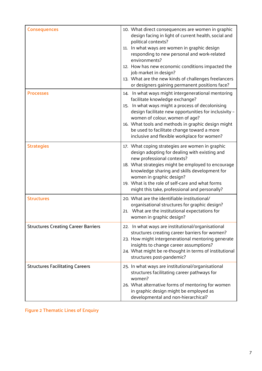| <b>Consequences</b>                        | 10. What direct consequences are women in graphic<br>design facing in light of current health, social and<br>political contexts?<br>11. In what ways are women in graphic design<br>responding to new personal and work-related<br>environments?<br>12. How has new economic conditions impacted the<br>job market in design?<br>13. What are the new kinds of challenges freelancers<br>or designers gaining permanent positions face? |
|--------------------------------------------|-----------------------------------------------------------------------------------------------------------------------------------------------------------------------------------------------------------------------------------------------------------------------------------------------------------------------------------------------------------------------------------------------------------------------------------------|
| <b>Processes</b>                           | 14. In what ways might intergenerational mentoring<br>facilitate knowledge exchange?<br>15. In what ways might a process of decolonising<br>design facilitate new opportunities for inclusivity -<br>women of colour, women of age?<br>16. What tools and methods in graphic design might<br>be used to facilitate change toward a more<br>inclusive and flexible workplace for women?                                                  |
| <b>Strategies</b>                          | 17. What coping strategies are women in graphic<br>design adopting for dealing with existing and<br>new professional contexts?<br>18. What strategies might be employed to encourage<br>knowledge sharing and skills development for<br>women in graphic design?<br>19. What is the role of self-care and what forms<br>might this take, professional and personally?                                                                   |
| <b>Structures</b>                          | 20. What are the identifiable institutional/<br>organisational structures for graphic design?<br>21. What are the institutional expectations for<br>women in graphic design?                                                                                                                                                                                                                                                            |
| <b>Structures Creating Career Barriers</b> | 22. In what ways are institutional/organisational<br>structures creating career barriers for women?<br>23. How might intergenerational mentoring generate<br>insights to change career assumptions?<br>24. What might be re-thought in terms of institutional<br>structures post-pandemic?                                                                                                                                              |
| <b>Structures Facilitating Careers</b>     | 25. In what ways are institutional/organisational<br>structures facilitating career pathways for<br>women?<br>26. What alternative forms of mentoring for women<br>in graphic design might be employed as<br>developmental and non-hierarchical?                                                                                                                                                                                        |

**Figure 2 Thematic Lines of Enquiry**